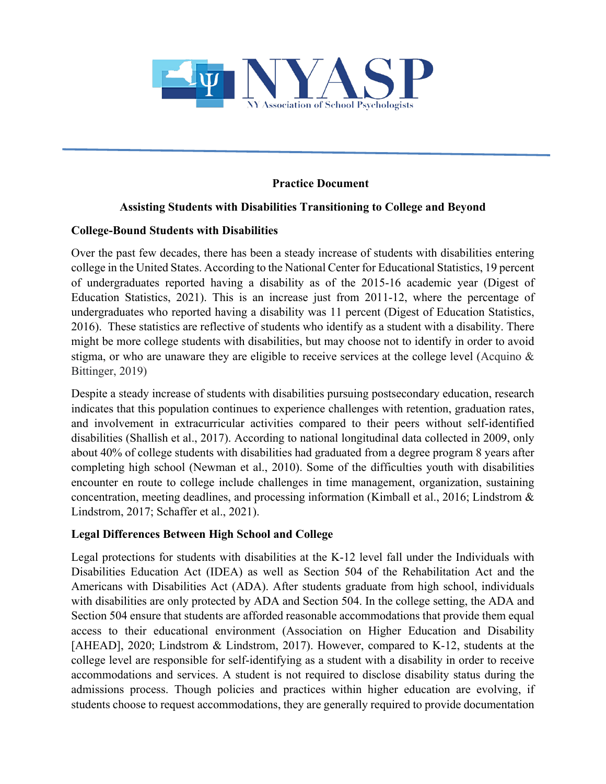

## **Practice Document**

### **Assisting Students with Disabilities Transitioning to College and Beyond**

#### **College-Bound Students with Disabilities**

Over the past few decades, there has been a steady increase of students with disabilities entering college in the United States. According to the National Center for Educational Statistics, 19 percent of undergraduates reported having a disability as of the 2015-16 academic year (Digest of Education Statistics, 2021). This is an increase just from 2011-12, where the percentage of undergraduates who reported having a disability was 11 percent (Digest of Education Statistics, 2016). These statistics are reflective of students who identify as a student with a disability. There might be more college students with disabilities, but may choose not to identify in order to avoid stigma, or who are unaware they are eligible to receive services at the college level (Acquino  $\&$ Bittinger, 2019)

Despite a steady increase of students with disabilities pursuing postsecondary education, research indicates that this population continues to experience challenges with retention, graduation rates, and involvement in extracurricular activities compared to their peers without self-identified disabilities (Shallish et al., 2017). According to national longitudinal data collected in 2009, only about 40% of college students with disabilities had graduated from a degree program 8 years after completing high school (Newman et al., 2010). Some of the difficulties youth with disabilities encounter en route to college include challenges in time management, organization, sustaining concentration, meeting deadlines, and processing information (Kimball et al., 2016; Lindstrom & Lindstrom, 2017; Schaffer et al., 2021).

### **Legal Differences Between High School and College**

Legal protections for students with disabilities at the K-12 level fall under the Individuals with Disabilities Education Act (IDEA) as well as Section 504 of the Rehabilitation Act and the Americans with Disabilities Act (ADA). After students graduate from high school, individuals with disabilities are only protected by ADA and Section 504. In the college setting, the ADA and Section 504 ensure that students are afforded reasonable accommodations that provide them equal access to their educational environment (Association on Higher Education and Disability [AHEAD], 2020; Lindstrom & Lindstrom, 2017). However, compared to K-12, students at the college level are responsible for self-identifying as a student with a disability in order to receive accommodations and services. A student is not required to disclose disability status during the admissions process. Though policies and practices within higher education are evolving, if students choose to request accommodations, they are generally required to provide documentation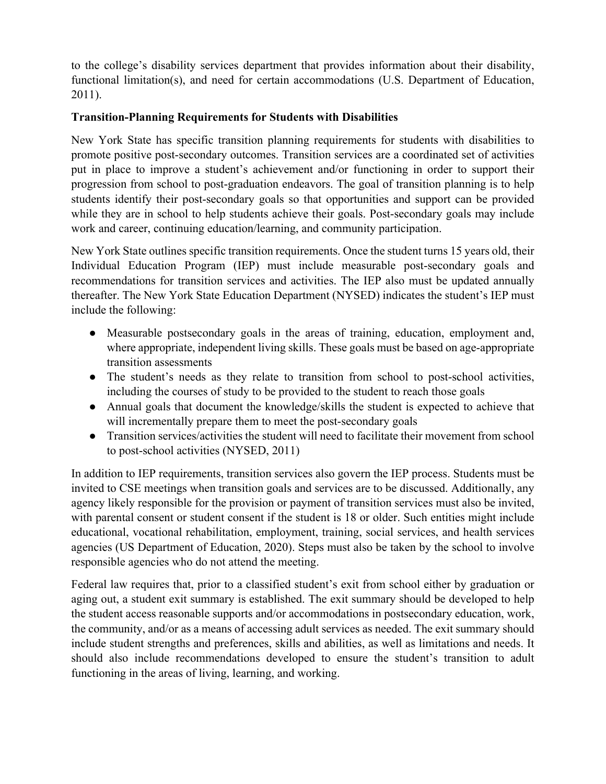to the college's disability services department that provides information about their disability, functional limitation(s), and need for certain accommodations (U.S. Department of Education, 2011).

## **Transition-Planning Requirements for Students with Disabilities**

New York State has specific transition planning requirements for students with disabilities to promote positive post-secondary outcomes. Transition services are a coordinated set of activities put in place to improve a student's achievement and/or functioning in order to support their progression from school to post-graduation endeavors. The goal of transition planning is to help students identify their post-secondary goals so that opportunities and support can be provided while they are in school to help students achieve their goals. Post-secondary goals may include work and career, continuing education/learning, and community participation.

New York State outlines specific transition requirements. Once the student turns 15 years old, their Individual Education Program (IEP) must include measurable post-secondary goals and recommendations for transition services and activities. The IEP also must be updated annually thereafter. The New York State Education Department (NYSED) indicates the student's IEP must include the following:

- Measurable postsecondary goals in the areas of training, education, employment and, where appropriate, independent living skills. These goals must be based on age-appropriate transition assessments
- The student's needs as they relate to transition from school to post-school activities, including the courses of study to be provided to the student to reach those goals
- Annual goals that document the knowledge/skills the student is expected to achieve that will incrementally prepare them to meet the post-secondary goals
- Transition services/activities the student will need to facilitate their movement from school to post-school activities (NYSED, 2011)

In addition to IEP requirements, transition services also govern the IEP process. Students must be invited to CSE meetings when transition goals and services are to be discussed. Additionally, any agency likely responsible for the provision or payment of transition services must also be invited, with parental consent or student consent if the student is 18 or older. Such entities might include educational, vocational rehabilitation, employment, training, social services, and health services agencies (US Department of Education, 2020). Steps must also be taken by the school to involve responsible agencies who do not attend the meeting.

Federal law requires that, prior to a classified student's exit from school either by graduation or aging out, a student exit summary is established. The exit summary should be developed to help the student access reasonable supports and/or accommodations in postsecondary education, work, the community, and/or as a means of accessing adult services as needed. The exit summary should include student strengths and preferences, skills and abilities, as well as limitations and needs. It should also include recommendations developed to ensure the student's transition to adult functioning in the areas of living, learning, and working.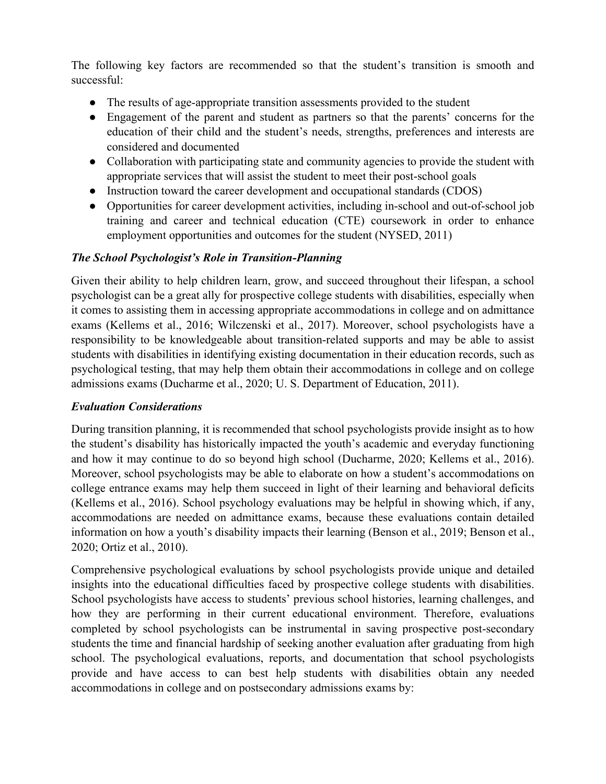The following key factors are recommended so that the student's transition is smooth and successful:

- The results of age-appropriate transition assessments provided to the student
- Engagement of the parent and student as partners so that the parents' concerns for the education of their child and the student's needs, strengths, preferences and interests are considered and documented
- Collaboration with participating state and community agencies to provide the student with appropriate services that will assist the student to meet their post-school goals
- Instruction toward the career development and occupational standards (CDOS)
- Opportunities for career development activities, including in-school and out-of-school job training and career and technical education (CTE) coursework in order to enhance employment opportunities and outcomes for the student (NYSED, 2011)

## *The School Psychologist's Role in Transition-Planning*

Given their ability to help children learn, grow, and succeed throughout their lifespan, a school psychologist can be a great ally for prospective college students with disabilities, especially when it comes to assisting them in accessing appropriate accommodations in college and on admittance exams (Kellems et al., 2016; Wilczenski et al., 2017). Moreover, school psychologists have a responsibility to be knowledgeable about transition-related supports and may be able to assist students with disabilities in identifying existing documentation in their education records, such as psychological testing, that may help them obtain their accommodations in college and on college admissions exams (Ducharme et al., 2020; U. S. Department of Education, 2011).

# *Evaluation Considerations*

During transition planning, it is recommended that school psychologists provide insight as to how the student's disability has historically impacted the youth's academic and everyday functioning and how it may continue to do so beyond high school (Ducharme, 2020; Kellems et al., 2016). Moreover, school psychologists may be able to elaborate on how a student's accommodations on college entrance exams may help them succeed in light of their learning and behavioral deficits (Kellems et al., 2016). School psychology evaluations may be helpful in showing which, if any, accommodations are needed on admittance exams, because these evaluations contain detailed information on how a youth's disability impacts their learning (Benson et al., 2019; Benson et al., 2020; Ortiz et al., 2010).

Comprehensive psychological evaluations by school psychologists provide unique and detailed insights into the educational difficulties faced by prospective college students with disabilities. School psychologists have access to students' previous school histories, learning challenges, and how they are performing in their current educational environment. Therefore, evaluations completed by school psychologists can be instrumental in saving prospective post-secondary students the time and financial hardship of seeking another evaluation after graduating from high school. The psychological evaluations, reports, and documentation that school psychologists provide and have access to can best help students with disabilities obtain any needed accommodations in college and on postsecondary admissions exams by: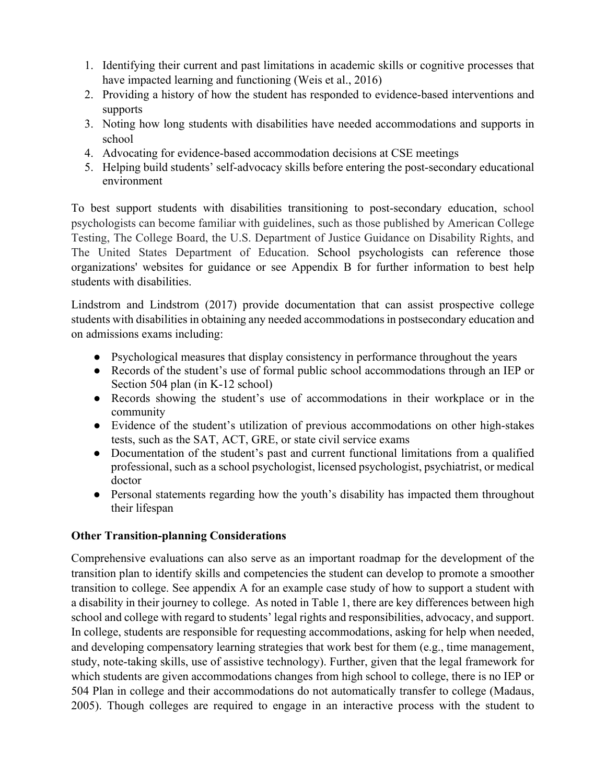- 1. Identifying their current and past limitations in academic skills or cognitive processes that have impacted learning and functioning (Weis et al., 2016)
- 2. Providing a history of how the student has responded to evidence-based interventions and supports
- 3. Noting how long students with disabilities have needed accommodations and supports in school
- 4. Advocating for evidence-based accommodation decisions at CSE meetings
- 5. Helping build students' self-advocacy skills before entering the post-secondary educational environment

To best support students with disabilities transitioning to post-secondary education, school psychologists can become familiar with guidelines, such as those published by American College Testing, The College Board, the U.S. Department of Justice Guidance on Disability Rights, and The United States Department of Education. School psychologists can reference those organizations' websites for guidance or see Appendix B for further information to best help students with disabilities.

Lindstrom and Lindstrom (2017) provide documentation that can assist prospective college students with disabilities in obtaining any needed accommodations in postsecondary education and on admissions exams including:

- Psychological measures that display consistency in performance throughout the years
- Records of the student's use of formal public school accommodations through an IEP or Section 504 plan (in K-12 school)
- Records showing the student's use of accommodations in their workplace or in the community
- Evidence of the student's utilization of previous accommodations on other high-stakes tests, such as the SAT, ACT, GRE, or state civil service exams
- Documentation of the student's past and current functional limitations from a qualified professional, such as a school psychologist, licensed psychologist, psychiatrist, or medical doctor
- Personal statements regarding how the youth's disability has impacted them throughout their lifespan

### **Other Transition-planning Considerations**

Comprehensive evaluations can also serve as an important roadmap for the development of the transition plan to identify skills and competencies the student can develop to promote a smoother transition to college. See appendix A for an example case study of how to support a student with a disability in their journey to college. As noted in Table 1, there are key differences between high school and college with regard to students' legal rights and responsibilities, advocacy, and support. In college, students are responsible for requesting accommodations, asking for help when needed, and developing compensatory learning strategies that work best for them (e.g., time management, study, note-taking skills, use of assistive technology). Further, given that the legal framework for which students are given accommodations changes from high school to college, there is no IEP or 504 Plan in college and their accommodations do not automatically transfer to college (Madaus, 2005). Though colleges are required to engage in an interactive process with the student to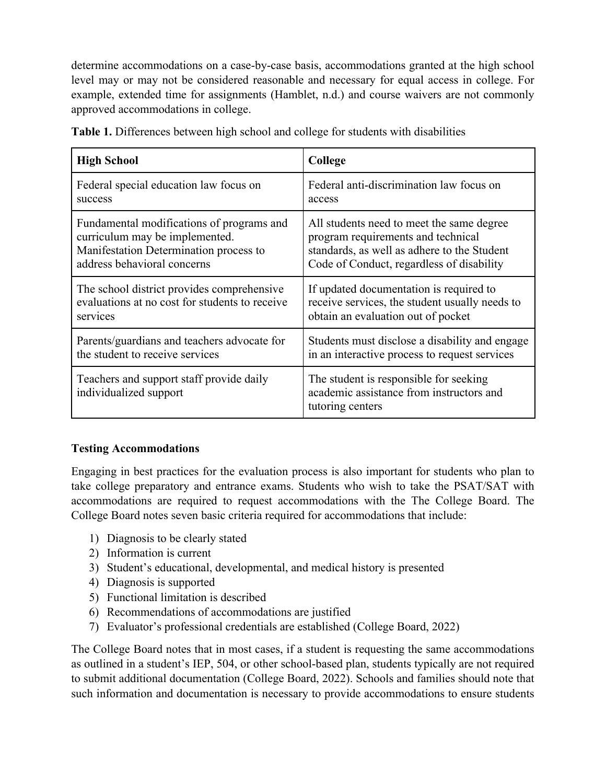determine accommodations on a case-by-case basis, accommodations granted at the high school level may or may not be considered reasonable and necessary for equal access in college. For example, extended time for assignments (Hamblet, n.d.) and course waivers are not commonly approved accommodations in college.

| <b>High School</b>                                                 | College                                                                                                |
|--------------------------------------------------------------------|--------------------------------------------------------------------------------------------------------|
| Federal special education law focus on                             | Federal anti-discrimination law focus on                                                               |
| success                                                            | access                                                                                                 |
| Fundamental modifications of programs and                          | All students need to meet the same degree                                                              |
| curriculum may be implemented.                                     | program requirements and technical                                                                     |
| Manifestation Determination process to                             | standards, as well as adhere to the Student                                                            |
| address behavioral concerns                                        | Code of Conduct, regardless of disability                                                              |
| The school district provides comprehensive                         | If updated documentation is required to                                                                |
| evaluations at no cost for students to receive                     | receive services, the student usually needs to                                                         |
| services                                                           | obtain an evaluation out of pocket                                                                     |
| Parents/guardians and teachers advocate for                        | Students must disclose a disability and engage                                                         |
| the student to receive services                                    | in an interactive process to request services                                                          |
| Teachers and support staff provide daily<br>individualized support | The student is responsible for seeking<br>academic assistance from instructors and<br>tutoring centers |

**Table 1.** Differences between high school and college for students with disabilities

### **Testing Accommodations**

Engaging in best practices for the evaluation process is also important for students who plan to take college preparatory and entrance exams. Students who wish to take the PSAT/SAT with accommodations are required to request accommodations with the The College Board. The College Board notes seven basic criteria required for accommodations that include:

- 1) Diagnosis to be clearly stated
- 2) Information is current
- 3) Student's educational, developmental, and medical history is presented
- 4) Diagnosis is supported
- 5) Functional limitation is described
- 6) Recommendations of accommodations are justified
- 7) Evaluator's professional credentials are established (College Board, 2022)

The College Board notes that in most cases, if a student is requesting the same accommodations as outlined in a student's IEP, 504, or other school-based plan, students typically are not required to submit additional documentation (College Board, 2022). Schools and families should note that such information and documentation is necessary to provide accommodations to ensure students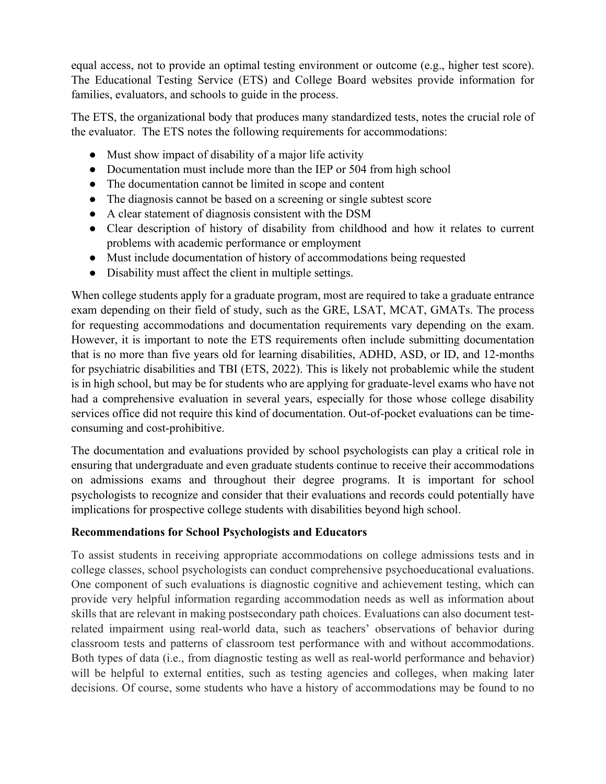equal access, not to provide an optimal testing environment or outcome (e.g., higher test score). The Educational Testing Service (ETS) and College Board websites provide information for families, evaluators, and schools to guide in the process.

The ETS, the organizational body that produces many standardized tests, notes the crucial role of the evaluator. The ETS notes the following requirements for accommodations:

- Must show impact of disability of a major life activity
- Documentation must include more than the IEP or 504 from high school
- The documentation cannot be limited in scope and content
- The diagnosis cannot be based on a screening or single subtest score
- A clear statement of diagnosis consistent with the DSM
- Clear description of history of disability from childhood and how it relates to current problems with academic performance or employment
- Must include documentation of history of accommodations being requested
- Disability must affect the client in multiple settings.

When college students apply for a graduate program, most are required to take a graduate entrance exam depending on their field of study, such as the GRE, LSAT, MCAT, GMATs. The process for requesting accommodations and documentation requirements vary depending on the exam. However, it is important to note the ETS requirements often include submitting documentation that is no more than five years old for learning disabilities, ADHD, ASD, or ID, and 12-months for psychiatric disabilities and TBI (ETS, 2022). This is likely not probablemic while the student is in high school, but may be for students who are applying for graduate-level exams who have not had a comprehensive evaluation in several years, especially for those whose college disability services office did not require this kind of documentation. Out-of-pocket evaluations can be timeconsuming and cost-prohibitive.

The documentation and evaluations provided by school psychologists can play a critical role in ensuring that undergraduate and even graduate students continue to receive their accommodations on admissions exams and throughout their degree programs. It is important for school psychologists to recognize and consider that their evaluations and records could potentially have implications for prospective college students with disabilities beyond high school.

# **Recommendations for School Psychologists and Educators**

To assist students in receiving appropriate accommodations on college admissions tests and in college classes, school psychologists can conduct comprehensive psychoeducational evaluations. One component of such evaluations is diagnostic cognitive and achievement testing, which can provide very helpful information regarding accommodation needs as well as information about skills that are relevant in making postsecondary path choices. Evaluations can also document testrelated impairment using real-world data, such as teachers' observations of behavior during classroom tests and patterns of classroom test performance with and without accommodations. Both types of data (i.e., from diagnostic testing as well as real-world performance and behavior) will be helpful to external entities, such as testing agencies and colleges, when making later decisions. Of course, some students who have a history of accommodations may be found to no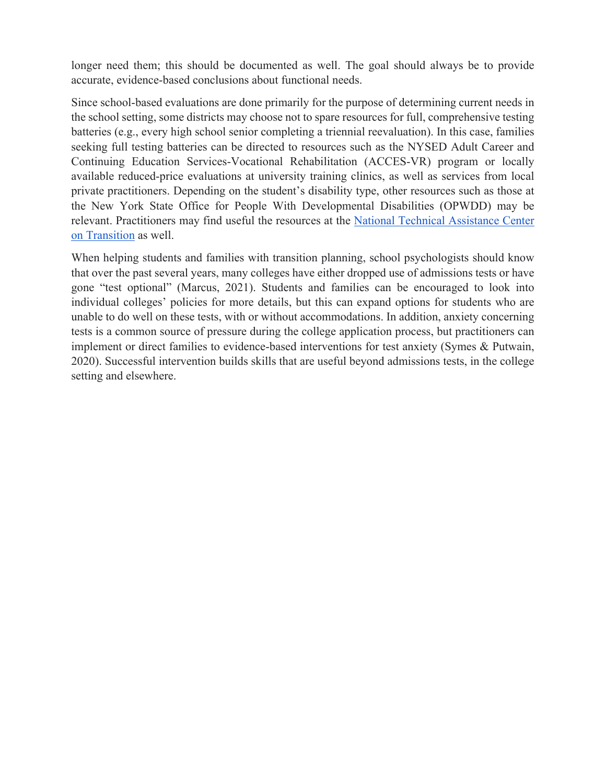longer need them; this should be documented as well. The goal should always be to provide accurate, evidence-based conclusions about functional needs.

Since school-based evaluations are done primarily for the purpose of determining current needs in the school setting, some districts may choose not to spare resources for full, comprehensive testing batteries (e.g., every high school senior completing a triennial reevaluation). In this case, families seeking full testing batteries can be directed to resources such as the NYSED Adult Career and Continuing Education Services-Vocational Rehabilitation (ACCES-VR) program or locally available reduced-price evaluations at university training clinics, as well as services from local private practitioners. Depending on the student's disability type, other resources such as those at the New York State Office for People With Developmental Disabilities (OPWDD) may be relevant. Practitioners may find useful the resources at the National Technical Assistance Center on Transition as well.

When helping students and families with transition planning, school psychologists should know that over the past several years, many colleges have either dropped use of admissions tests or have gone "test optional" (Marcus, 2021). Students and families can be encouraged to look into individual colleges' policies for more details, but this can expand options for students who are unable to do well on these tests, with or without accommodations. In addition, anxiety concerning tests is a common source of pressure during the college application process, but practitioners can implement or direct families to evidence-based interventions for test anxiety (Symes & Putwain, 2020). Successful intervention builds skills that are useful beyond admissions tests, in the college setting and elsewhere.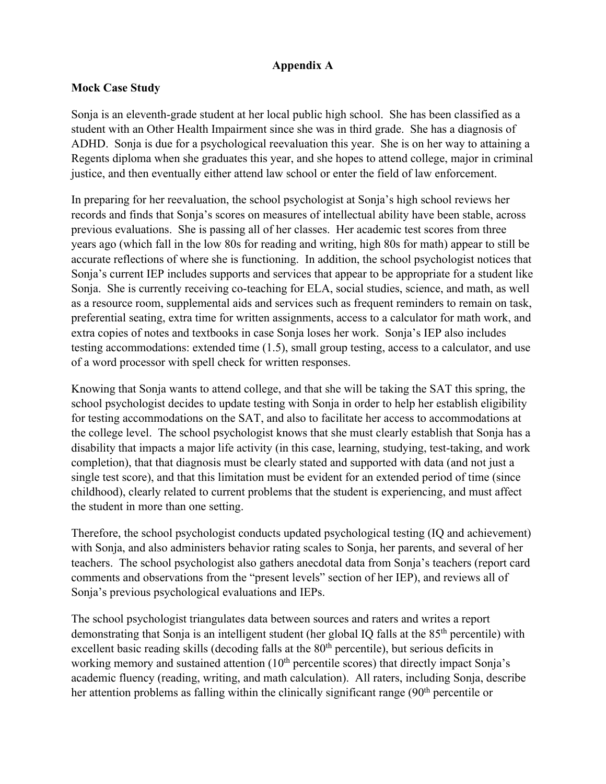### **Appendix A**

### **Mock Case Study**

Sonja is an eleventh-grade student at her local public high school. She has been classified as a student with an Other Health Impairment since she was in third grade. She has a diagnosis of ADHD. Sonja is due for a psychological reevaluation this year. She is on her way to attaining a Regents diploma when she graduates this year, and she hopes to attend college, major in criminal justice, and then eventually either attend law school or enter the field of law enforcement.

In preparing for her reevaluation, the school psychologist at Sonja's high school reviews her records and finds that Sonja's scores on measures of intellectual ability have been stable, across previous evaluations. She is passing all of her classes. Her academic test scores from three years ago (which fall in the low 80s for reading and writing, high 80s for math) appear to still be accurate reflections of where she is functioning. In addition, the school psychologist notices that Sonja's current IEP includes supports and services that appear to be appropriate for a student like Sonja. She is currently receiving co-teaching for ELA, social studies, science, and math, as well as a resource room, supplemental aids and services such as frequent reminders to remain on task, preferential seating, extra time for written assignments, access to a calculator for math work, and extra copies of notes and textbooks in case Sonja loses her work. Sonja's IEP also includes testing accommodations: extended time (1.5), small group testing, access to a calculator, and use of a word processor with spell check for written responses.

Knowing that Sonja wants to attend college, and that she will be taking the SAT this spring, the school psychologist decides to update testing with Sonja in order to help her establish eligibility for testing accommodations on the SAT, and also to facilitate her access to accommodations at the college level. The school psychologist knows that she must clearly establish that Sonja has a disability that impacts a major life activity (in this case, learning, studying, test-taking, and work completion), that that diagnosis must be clearly stated and supported with data (and not just a single test score), and that this limitation must be evident for an extended period of time (since childhood), clearly related to current problems that the student is experiencing, and must affect the student in more than one setting.

Therefore, the school psychologist conducts updated psychological testing (IQ and achievement) with Sonja, and also administers behavior rating scales to Sonja, her parents, and several of her teachers. The school psychologist also gathers anecdotal data from Sonja's teachers (report card comments and observations from the "present levels" section of her IEP), and reviews all of Sonja's previous psychological evaluations and IEPs.

The school psychologist triangulates data between sources and raters and writes a report demonstrating that Sonja is an intelligent student (her global IQ falls at the 85th percentile) with excellent basic reading skills (decoding falls at the 80<sup>th</sup> percentile), but serious deficits in working memory and sustained attention (10<sup>th</sup> percentile scores) that directly impact Sonja's academic fluency (reading, writing, and math calculation). All raters, including Sonja, describe her attention problems as falling within the clinically significant range (90<sup>th</sup> percentile or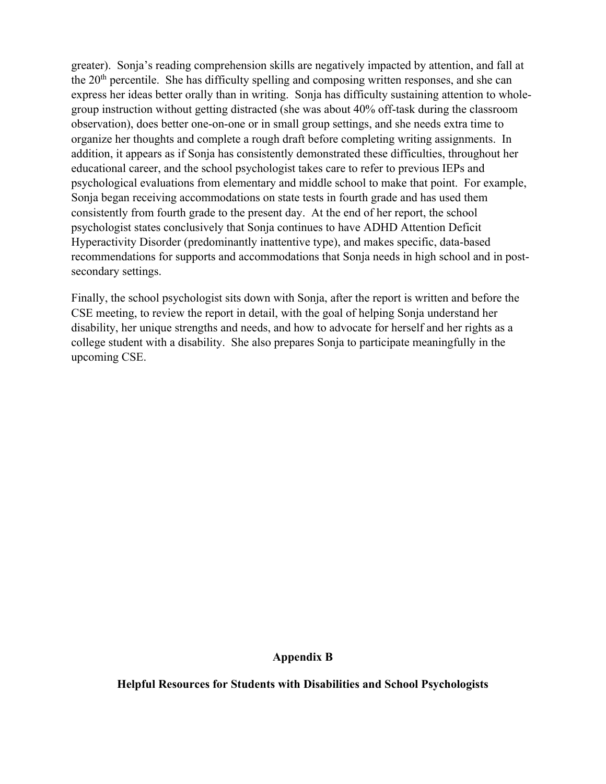greater). Sonja's reading comprehension skills are negatively impacted by attention, and fall at the 20th percentile. She has difficulty spelling and composing written responses, and she can express her ideas better orally than in writing. Sonja has difficulty sustaining attention to wholegroup instruction without getting distracted (she was about 40% off-task during the classroom observation), does better one-on-one or in small group settings, and she needs extra time to organize her thoughts and complete a rough draft before completing writing assignments. In addition, it appears as if Sonja has consistently demonstrated these difficulties, throughout her educational career, and the school psychologist takes care to refer to previous IEPs and psychological evaluations from elementary and middle school to make that point. For example, Sonja began receiving accommodations on state tests in fourth grade and has used them consistently from fourth grade to the present day. At the end of her report, the school psychologist states conclusively that Sonja continues to have ADHD Attention Deficit Hyperactivity Disorder (predominantly inattentive type), and makes specific, data-based recommendations for supports and accommodations that Sonja needs in high school and in postsecondary settings.

Finally, the school psychologist sits down with Sonja, after the report is written and before the CSE meeting, to review the report in detail, with the goal of helping Sonja understand her disability, her unique strengths and needs, and how to advocate for herself and her rights as a college student with a disability. She also prepares Sonja to participate meaningfully in the upcoming CSE.

#### **Appendix B**

**Helpful Resources for Students with Disabilities and School Psychologists**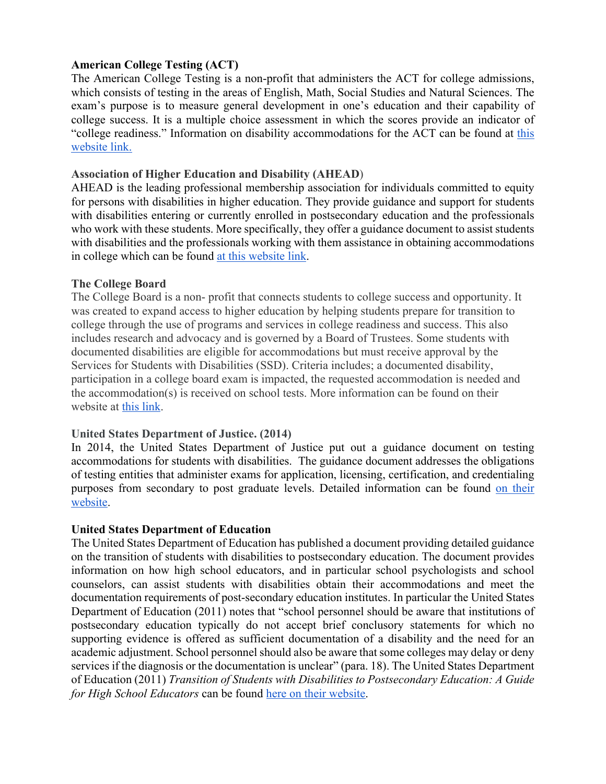#### **American College Testing (ACT)**

The American College Testing is a non-profit that administers the ACT for college admissions, which consists of testing in the areas of English, Math, Social Studies and Natural Sciences. The exam's purpose is to measure general development in one's education and their capability of college success. It is a multiple choice assessment in which the scores provide an indicator of "college readiness." Information on disability accommodations for the ACT can be found at this website link.

#### **Association of Higher Education and Disability (AHEAD**)

AHEAD is the leading professional membership association for individuals committed to equity for persons with disabilities in higher education. They provide guidance and support for students with disabilities entering or currently enrolled in postsecondary education and the professionals who work with these students. More specifically, they offer a guidance document to assist students with disabilities and the professionals working with them assistance in obtaining accommodations in college which can be found at this website link.

#### **The College Board**

The College Board is a non- profit that connects students to college success and opportunity. It was created to expand access to higher education by helping students prepare for transition to college through the use of programs and services in college readiness and success. This also includes research and advocacy and is governed by a Board of Trustees. Some students with documented disabilities are eligible for accommodations but must receive approval by the Services for Students with Disabilities (SSD). Criteria includes; a documented disability, participation in a college board exam is impacted, the requested accommodation is needed and the accommodation(s) is received on school tests. More information can be found on their website at this link.

### **United States Department of Justice. (2014)**

In 2014, the United States Department of Justice put out a guidance document on testing accommodations for students with disabilities. The guidance document addresses the obligations of testing entities that administer exams for application, licensing, certification, and credentialing purposes from secondary to post graduate levels. Detailed information can be found on their website.

#### **United States Department of Education**

The United States Department of Education has published a document providing detailed guidance on the transition of students with disabilities to postsecondary education. The document provides information on how high school educators, and in particular school psychologists and school counselors, can assist students with disabilities obtain their accommodations and meet the documentation requirements of post-secondary education institutes. In particular the United States Department of Education (2011) notes that "school personnel should be aware that institutions of postsecondary education typically do not accept brief conclusory statements for which no supporting evidence is offered as sufficient documentation of a disability and the need for an academic adjustment. School personnel should also be aware that some colleges may delay or deny services if the diagnosis or the documentation is unclear" (para. 18). The United States Department of Education (2011) *Transition of Students with Disabilities to Postsecondary Education: A Guide for High School Educators* can be found here on their website.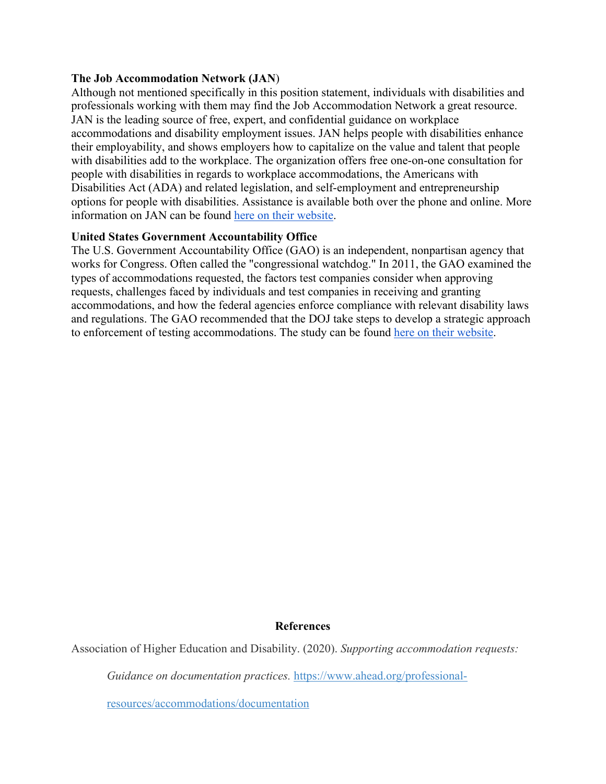#### **The Job Accommodation Network (JAN**)

Although not mentioned specifically in this position statement, individuals with disabilities and professionals working with them may find the Job Accommodation Network a great resource. JAN is the leading source of free, expert, and confidential guidance on workplace accommodations and disability employment issues. JAN helps people with disabilities enhance their employability, and shows employers how to capitalize on the value and talent that people with disabilities add to the workplace. The organization offers free one-on-one consultation for people with disabilities in regards to workplace accommodations, the Americans with Disabilities Act (ADA) and related legislation, and self-employment and entrepreneurship options for people with disabilities. Assistance is available both over the phone and online. More information on JAN can be found here on their website.

#### **United States Government Accountability Office**

The U.S. Government Accountability Office (GAO) is an independent, nonpartisan agency that works for Congress. Often called the "congressional watchdog." In 2011, the GAO examined the types of accommodations requested, the factors test companies consider when approving requests, challenges faced by individuals and test companies in receiving and granting accommodations, and how the federal agencies enforce compliance with relevant disability laws and regulations. The GAO recommended that the DOJ take steps to develop a strategic approach to enforcement of testing accommodations. The study can be found here on their website.

#### **References**

Association of Higher Education and Disability. (2020). *Supporting accommodation requests:* 

*Guidance on documentation practices.* https://www.ahead.org/professional-

resources/accommodations/documentation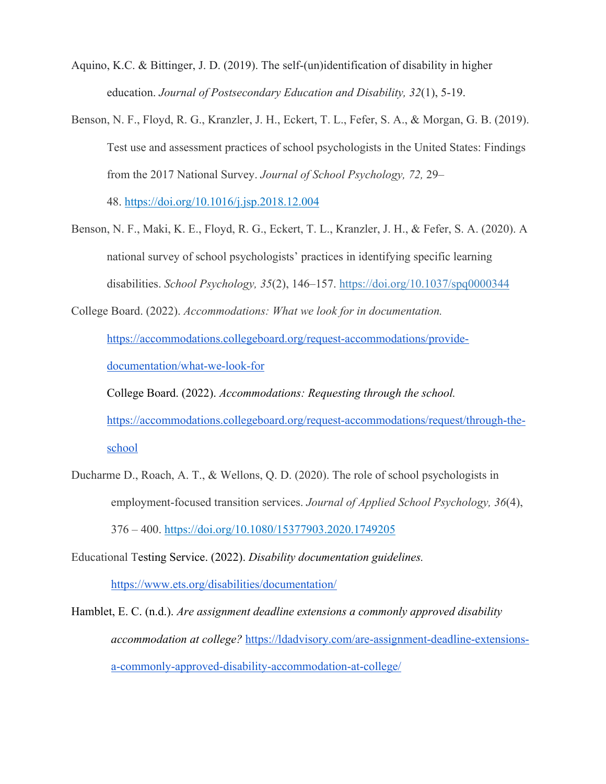- Aquino, K.C. & Bittinger, J. D. (2019). The self-(un)identification of disability in higher education. *Journal of Postsecondary Education and Disability, 32*(1), 5-19.
- Benson, N. F., Floyd, R. G., Kranzler, J. H., Eckert, T. L., Fefer, S. A., & Morgan, G. B. (2019). Test use and assessment practices of school psychologists in the United States: Findings from the 2017 National Survey. *Journal of School Psychology, 72,* 29–

48. https://doi.org/10.1016/j.jsp.2018.12.004

Benson, N. F., Maki, K. E., Floyd, R. G., Eckert, T. L., Kranzler, J. H., & Fefer, S. A. (2020). A national survey of school psychologists' practices in identifying specific learning disabilities. *School Psychology, 35*(2), 146–157. https://doi.org/10.1037/spq0000344

College Board. (2022). *Accommodations: What we look for in documentation.*

https://accommodations.collegeboard.org/request-accommodations/providedocumentation/what-we-look-for

College Board. (2022). *Accommodations: Requesting through the school.*  https://accommodations.collegeboard.org/request-accommodations/request/through-theschool

Ducharme D., Roach, A. T., & Wellons, Q. D. (2020). The role of school psychologists in employment-focused transition services. *Journal of Applied School Psychology, 36*(4), 376 – 400. https://doi.org/10.1080/15377903.2020.1749205

Educational Testing Service. (2022). *Disability documentation guidelines.*

https://www.ets.org/disabilities/documentation/

Hamblet, E. C. (n.d.). *Are assignment deadline extensions a commonly approved disability accommodation at college?* https://ldadvisory.com/are-assignment-deadline-extensionsa-commonly-approved-disability-accommodation-at-college/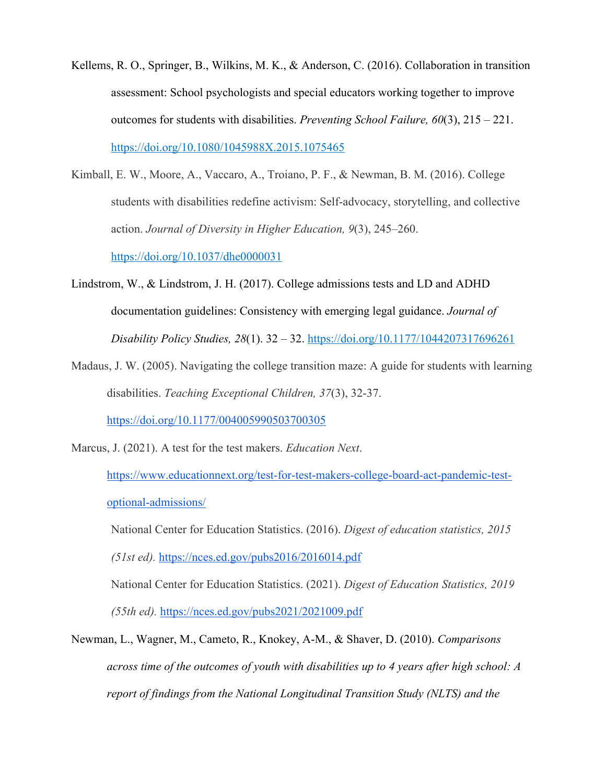- Kellems, R. O., Springer, B., Wilkins, M. K., & Anderson, C. (2016). Collaboration in transition assessment: School psychologists and special educators working together to improve outcomes for students with disabilities. *Preventing School Failure, 60*(3), 215 – 221. https://doi.org/10.1080/1045988X.2015.1075465
- Kimball, E. W., Moore, A., Vaccaro, A., Troiano, P. F., & Newman, B. M. (2016). College students with disabilities redefine activism: Self-advocacy, storytelling, and collective action. *Journal of Diversity in Higher Education, 9*(3), 245–260. https://doi.org/10.1037/dhe0000031
- Lindstrom, W., & Lindstrom, J. H. (2017). College admissions tests and LD and ADHD documentation guidelines: Consistency with emerging legal guidance. *Journal of Disability Policy Studies, 28*(1). 32 – 32. https://doi.org/10.1177/1044207317696261
- Madaus, J. W. (2005). Navigating the college transition maze: A guide for students with learning disabilities. *Teaching Exceptional Children, 37*(3), 32-37.

https://doi.org/10.1177/004005990503700305

Marcus, J. (2021). A test for the test makers. *Education Next*.

https://www.educationnext.org/test-for-test-makers-college-board-act-pandemic-testoptional-admissions/

National Center for Education Statistics. (2016). *Digest of education statistics, 2015* 

*(51st ed).* https://nces.ed.gov/pubs2016/2016014.pdf

National Center for Education Statistics. (2021). *Digest of Education Statistics, 2019 (55th ed).* https://nces.ed.gov/pubs2021/2021009.pdf

Newman, L., Wagner, M., Cameto, R., Knokey, A-M., & Shaver, D. (2010). *Comparisons across time of the outcomes of youth with disabilities up to 4 years after high school: A report of findings from the National Longitudinal Transition Study (NLTS) and the*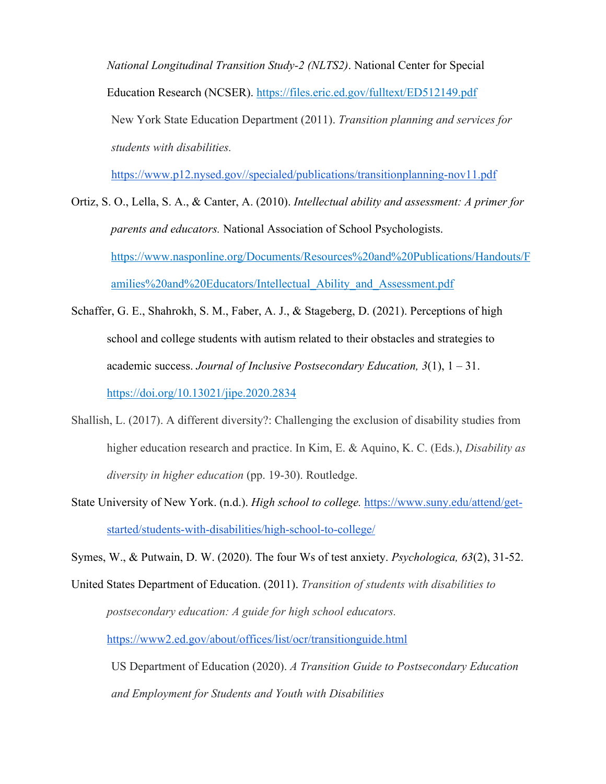*National Longitudinal Transition Study-2 (NLTS2)*. National Center for Special Education Research (NCSER). https://files.eric.ed.gov/fulltext/ED512149.pdf New York State Education Department (2011). *Transition planning and services for students with disabilities.* 

https://www.p12.nysed.gov//specialed/publications/transitionplanning-nov11.pdf

Ortiz, S. O., Lella, S. A., & Canter, A. (2010). *Intellectual ability and assessment: A primer for parents and educators.* National Association of School Psychologists. https://www.nasponline.org/Documents/Resources%20and%20Publications/Handouts/F amilies%20and%20Educators/Intellectual\_Ability\_and\_Assessment.pdf

- Schaffer, G. E., Shahrokh, S. M., Faber, A. J., & Stageberg, D. (2021). Perceptions of high school and college students with autism related to their obstacles and strategies to academic success. *Journal of Inclusive Postsecondary Education, 3*(1), 1 – 31. https://doi.org/10.13021/jipe.2020.2834
- Shallish, L. (2017). A different diversity?: Challenging the exclusion of disability studies from higher education research and practice. In Kim, E. & Aquino, K. C. (Eds.), *Disability as diversity in higher education* (pp. 19-30). Routledge.
- State University of New York. (n.d.). *High school to college.* https://www.suny.edu/attend/getstarted/students-with-disabilities/high-school-to-college/

Symes, W., & Putwain, D. W. (2020). The four Ws of test anxiety. *Psychologica, 63*(2), 31-52.

United States Department of Education. (2011). *Transition of students with disabilities to postsecondary education: A guide for high school educators.*  https://www2.ed.gov/about/offices/list/ocr/transitionguide.html

US Department of Education (2020). *A Transition Guide to Postsecondary Education and Employment for Students and Youth with Disabilities*